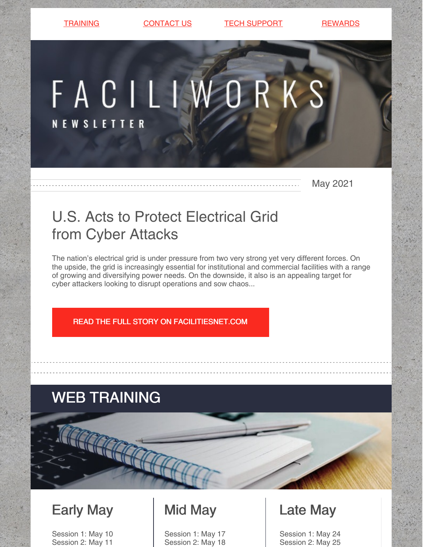[TRAINING](https://faciliworks.com/training-schedule/) [CONTACT](https://faciliworks.com/contact-us/) US TECH [SUPPORT](https://faciliworks.com/support/) [REWARDS](https://cybermetrics.com/referral-rewards/)

# FACILIWORKS

**NEWSLETTER** 

May 2021

# U.S. Acts to Protect Electrical Grid from Cyber Attacks

The nation's electrical grid is under pressure from two very strong yet very different forces. On the upside, the grid is increasingly essential for institutional and commercial facilities with a range of growing and diversifying power needs. On the downside, it also is an appealing target for cyber attackers looking to disrupt operations and sow chaos...

READ THE FULL STORY ON [FACILITIESNET.COM](https://www.facilitiesnet.com/powercommunication/tip/US-Acts-To-Protect-Electrical-Grid-from-Cyber-Attacks--48133)

## WEB TRAINING

## Early May

Session 1: May 10 Session 2: May 11

## Mid May

Session 1: May 17 Session 2: May 18

## Late May

Session 1: May 24 Session 2: May 25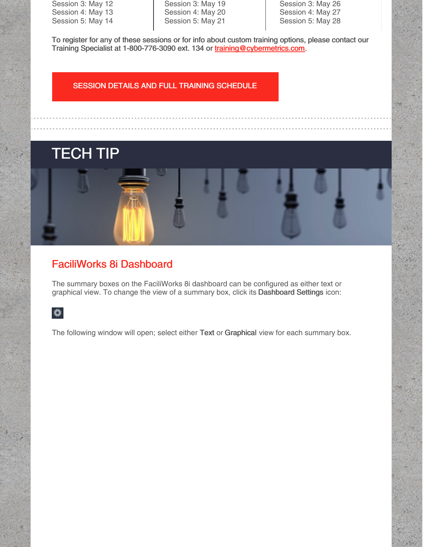Session 3: May 12 Session 4: May 13 Session 5: May 14 Session 3: May 19 Session 4: May 20 Session 5: May 21

Session 3: May 26 Session 4: May 27 Session 5: May 28

To register for any of these sessions or for info about custom training options, please contact our Training Specialist at 1-800-776-3090 ext. 134 or [training@cybermetrics.com.](mailto:training@cybermetrics.com)

#### SESSION DETAILS AND FULL TRAINING [SCHEDULE](https://faciliworks.com/training-schedule/#web_training)

# TECH TIP



## FaciliWorks 8i Dashboard

The summary boxes on the FaciliWorks 8i dashboard can be configured as either text or graphical view. To change the view of a summary box, click its Dashboard Settings icon:

### $\bullet$

The following window will open; select either Text or Graphical view for each summary box.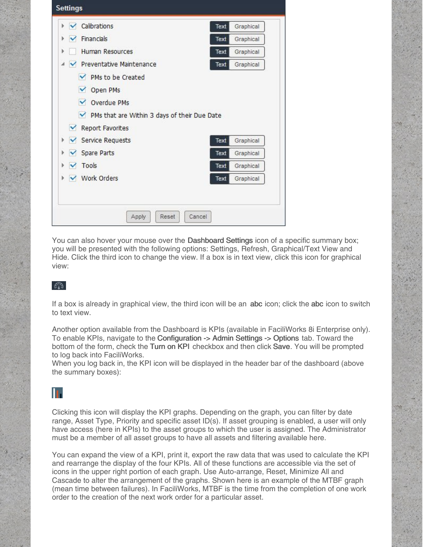| Calibrations<br>$\vee$                         | Graphical<br>Text        |
|------------------------------------------------|--------------------------|
| <b>Financials</b><br>$\blacktriangledown$      | Graphical<br>Text        |
| Human Resources                                | Text<br>Graphical        |
| ← Preventative Maintenance<br>◢                | Graphical<br>Text        |
| <b>√</b> PMs to be Created                     |                          |
|                                                |                          |
| $\vee$ Open PMs                                |                          |
| <b>√</b> Overdue PMs                           |                          |
| ✔ PMs that are Within 3 days of their Due Date |                          |
| M<br>Report Favorites                          |                          |
| ← Service Requests                             | Graphical<br>Text        |
| ← Spare Parts                                  | Text<br>Graphical        |
| Þ.<br>Þ.<br>$\sqrt{}$ Tools<br>Þ.              | <b>Text</b><br>Graphical |

You can also hover your mouse over the **Dashboard Settings** icon of a specific summary box; you will be presented with the following options: Settings, Refresh, Graphical/Text View and Hide. Click the third icon to change the view. If a box is in text view, click this icon for graphical view:

#### $\epsilon_{13}$

If a box is already in graphical view, the third icon will be an abc icon; click the abc icon to switch to text view.

Another option available from the Dashboard is KPIs (available in FaciliWorks 8i Enterprise only). To enable KPIs, navigate to the Configuration -> Admin Settings -> Options tab. Toward the bottom of the form, check the Turn on KPI checkbox and then click Save. You will be prompted to log back into FaciliWorks.

When you log back in, the KPI icon will be displayed in the header bar of the dashboard (above the summary boxes):

## n.

Clicking this icon will display the KPI graphs. Depending on the graph, you can filter by date range, Asset Type, Priority and specific asset ID(s). If asset grouping is enabled, a user will only have access (here in KPIs) to the asset groups to which the user is assigned. The Administrator must be a member of all asset groups to have all assets and filtering available here.

You can expand the view of a KPI, print it, export the raw data that was used to calculate the KPI and rearrange the display of the four KPIs. All of these functions are accessible via the set of icons in the upper right portion of each graph. Use Auto-arrange, Reset, Minimize All and Cascade to alter the arrangement of the graphs. Shown here is an example of the MTBF graph (mean time between failures). In FaciliWorks, MTBF is the time from the completion of one work order to the creation of the next work order for a particular asset.